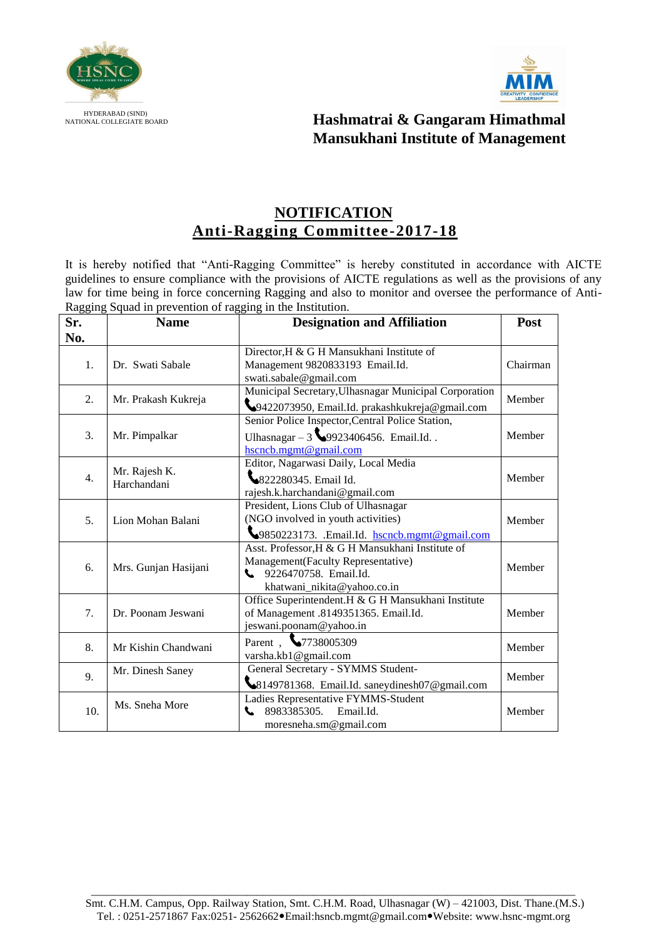



# **NOTIFICATION Anti-Ragging Committee-2017-18**

It is hereby notified that "Anti-Ragging Committee" is hereby constituted in accordance with AICTE guidelines to ensure compliance with the provisions of AICTE regulations as well as the provisions of any law for time being in force concerning Ragging and also to monitor and oversee the performance of Anti-Ragging Squad in prevention of ragging in the Institution.

| Sr.              | <b>Name</b>                  | <b>Designation and Affiliation</b>                                                                                                             | Post     |
|------------------|------------------------------|------------------------------------------------------------------------------------------------------------------------------------------------|----------|
| No.              |                              |                                                                                                                                                |          |
| 1.               | Dr. Swati Sabale             | Director, H & G H Mansukhani Institute of<br>Management 9820833193 Email.Id.<br>swati.sabale@gmail.com                                         | Chairman |
| 2.               | Mr. Prakash Kukreja          | Municipal Secretary, Ulhasnagar Municipal Corporation<br>9422073950, Email.Id. prakashkukreja@gmail.com                                        | Member   |
| 3.               | Mr. Pimpalkar                | Senior Police Inspector, Central Police Station,<br>Ulhasnagar $-3$ 9923406456. Email.Id<br>hscncb.mgmt@gmail.com                              | Member   |
| $\overline{4}$ . | Mr. Rajesh K.<br>Harchandani | Editor, Nagarwasi Daily, Local Media<br>822280345. Email Id.<br>rajesh.k.harchandani@gmail.com                                                 | Member   |
| 5.               | Lion Mohan Balani            | President, Lions Club of Ulhasnagar<br>(NGO involved in youth activities)<br>9850223173. .Email.Id. hscncb.mgmt@gmail.com                      | Member   |
| 6.               | Mrs. Gunjan Hasijani         | Asst. Professor, H & G H Mansukhani Institute of<br>Management(Faculty Representative)<br>9226470758. Email.Id.<br>khatwani_nikita@yahoo.co.in | Member   |
| 7.               | Dr. Poonam Jeswani           | Office Superintendent.H & G H Mansukhani Institute<br>of Management .8149351365. Email.Id.<br>jeswani.poonam@yahoo.in                          | Member   |
| 8.               | Mr Kishin Chandwani          | Parent, 17738005309<br>varsha.kb1@gmail.com                                                                                                    | Member   |
| 9.               | Mr. Dinesh Saney             | General Secretary - SYMMS Student-<br>8149781368. Email.Id. saneydinesh07@gmail.com                                                            | Member   |
| 10.              | Ms. Sneha More               | Ladies Representative FYMMS-Student<br>8983385305.<br>Email.Id.<br>moresneha.sm@gmail.com                                                      | Member   |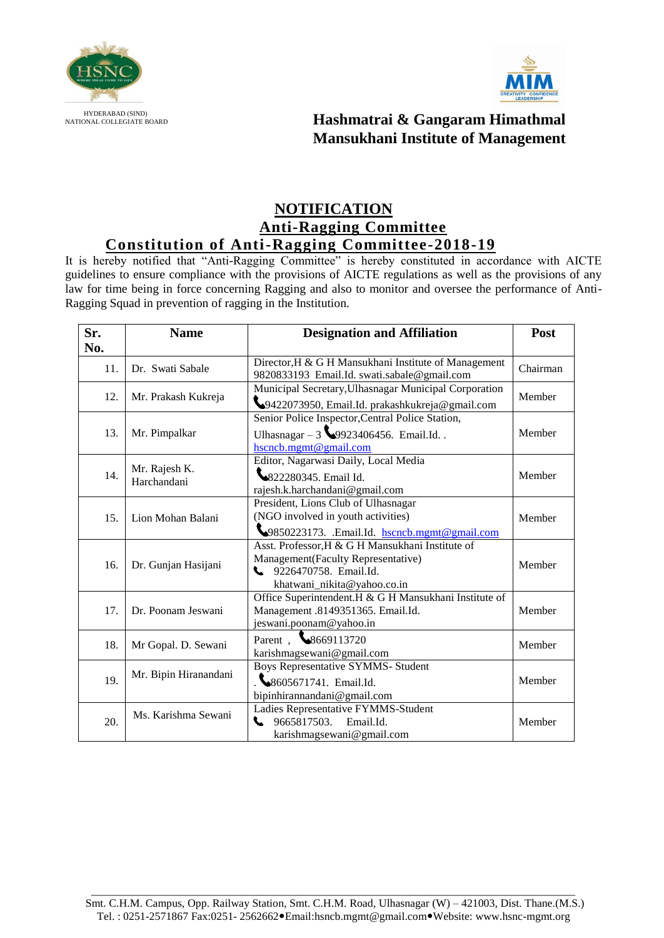



#### **NOTIFICATION Anti-Ragging Committee Constitution of Anti-Ragging Committee-2018-19**

It is hereby notified that "Anti-Ragging Committee" is hereby constituted in accordance with AICTE guidelines to ensure compliance with the provisions of AICTE regulations as well as the provisions of any law for time being in force concerning Ragging and also to monitor and oversee the performance of Anti-Ragging Squad in prevention of ragging in the Institution.

| Sr.<br>No. | <b>Name</b>                  | <b>Designation and Affiliation</b>                                                                                                             | Post     |
|------------|------------------------------|------------------------------------------------------------------------------------------------------------------------------------------------|----------|
| 11.        | Dr. Swati Sabale             | Director, H & G H Mansukhani Institute of Management<br>9820833193 Email.Id. swati.sabale@gmail.com                                            | Chairman |
| 12.        | Mr. Prakash Kukreja          | Municipal Secretary, Ulhasnagar Municipal Corporation<br>9422073950, Email.Id. prakashkukreja@gmail.com                                        | Member   |
| 13.        | Mr. Pimpalkar                | Senior Police Inspector, Central Police Station,<br>Ulhasnagar $-3$ 9923406456. Email.Id<br>hscncb.mgmt@gmail.com                              | Member   |
| 14.        | Mr. Rajesh K.<br>Harchandani | Editor, Nagarwasi Daily, Local Media<br>822280345. Email Id.<br>rajesh.k.harchandani@gmail.com                                                 | Member   |
| 15.        | Lion Mohan Balani            | President, Lions Club of Ulhasnagar<br>(NGO involved in youth activities)<br>9850223173. .Email.Id. hscncb.mgmt@gmail.com                      | Member   |
| 16.        | Dr. Gunjan Hasijani          | Asst. Professor, H & G H Mansukhani Institute of<br>Management(Faculty Representative)<br>9226470758. Email.Id.<br>khatwani_nikita@yahoo.co.in | Member   |
| 17.        | Dr. Poonam Jeswani           | Office Superintendent.H & G H Mansukhani Institute of<br>Management .8149351365. Email.Id.<br>jeswani.poonam@yahoo.in                          | Member   |
| 18.        | Mr Gopal. D. Sewani          | Parent, 8669113720<br>karishmagsewani@gmail.com                                                                                                | Member   |
| 19.        | Mr. Bipin Hiranandani        | <b>Boys Representative SYMMS- Student</b><br>. 8605671741. Email.Id.<br>bipinhirannandani@gmail.com                                            | Member   |
| 20.        | Ms. Karishma Sewani          | Ladies Representative FYMMS-Student<br>9665817503.<br>Email.Id.<br>L.<br>karishmagsewani@gmail.com                                             | Member   |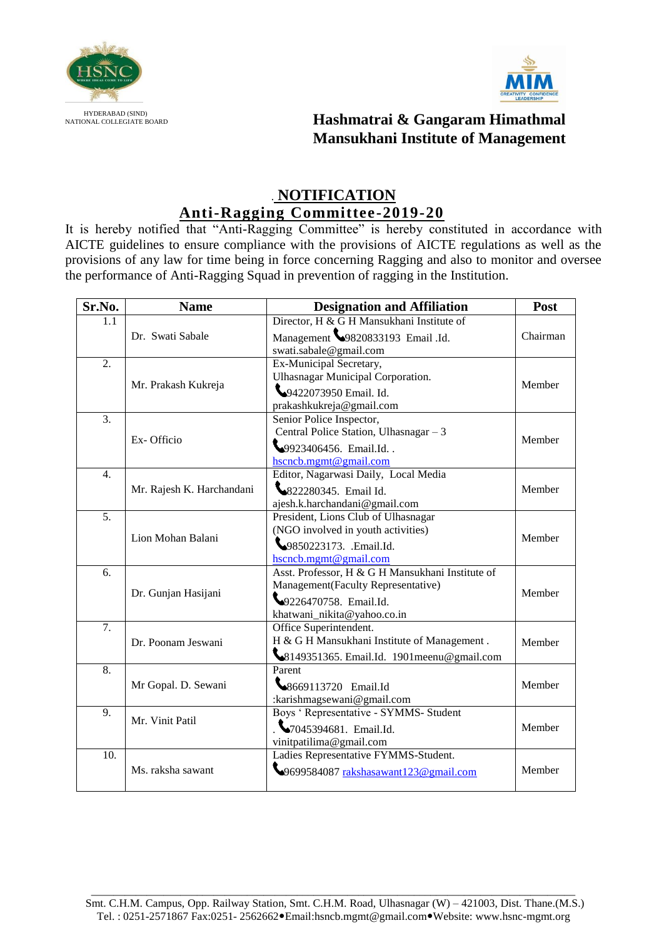



## . **NOTIFICATION Anti-Ragging Committee-2019-20**

It is hereby notified that "Anti-Ragging Committee" is hereby constituted in accordance with AICTE guidelines to ensure compliance with the provisions of AICTE regulations as well as the provisions of any law for time being in force concerning Ragging and also to monitor and oversee the performance of Anti-Ragging Squad in prevention of ragging in the Institution.

| Sr.No.           | <b>Name</b>               | <b>Designation and Affiliation</b>                                        | Post     |
|------------------|---------------------------|---------------------------------------------------------------------------|----------|
| 1.1              |                           | Director, H & G H Mansukhani Institute of                                 |          |
|                  | Dr. Swati Sabale          | Management 9820833193 Email .Id.                                          | Chairman |
|                  |                           | swati.sabale@gmail.com                                                    |          |
| 2.               |                           | Ex-Municipal Secretary,                                                   |          |
|                  | Mr. Prakash Kukreja       | <b>Ulhasnagar Municipal Corporation.</b>                                  | Member   |
|                  |                           | 9422073950 Email. Id.                                                     |          |
|                  |                           | prakashkukreja@gmail.com                                                  |          |
| 3.               |                           | Senior Police Inspector,                                                  |          |
|                  | Ex-Officio                | Central Police Station, Ulhasnagar - 3                                    | Member   |
|                  |                           | 9923406456. Email.Id. .                                                   |          |
|                  |                           | hscncb.mgmt@gmail.com                                                     |          |
| $\overline{4}$ . |                           | Editor, Nagarwasi Daily, Local Media                                      |          |
|                  | Mr. Rajesh K. Harchandani | 822280345. Email Id.                                                      | Member   |
|                  |                           | ajesh.k.harchandani@gmail.com                                             |          |
| $\overline{5}$ . |                           | President, Lions Club of Ulhasnagar                                       | Member   |
|                  | Lion Mohan Balani         | (NGO involved in youth activities)                                        |          |
|                  |                           | 9850223173. .Email.Id.                                                    |          |
|                  |                           | hscncb.mgmt@gmail.com<br>Asst. Professor, H & G H Mansukhani Institute of |          |
| 6.               |                           | Management(Faculty Representative)                                        |          |
|                  | Dr. Gunjan Hasijani       | 9226470758. Email.Id.                                                     | Member   |
|                  |                           | khatwani_nikita@yahoo.co.in                                               |          |
| $\overline{7}$ . |                           | Office Superintendent.                                                    |          |
|                  | Dr. Poonam Jeswani        | H & G H Mansukhani Institute of Management.                               | Member   |
|                  |                           | 8149351365. Email.Id. 1901 meenu@gmail.com                                |          |
| 8.               |                           | Parent                                                                    |          |
|                  | Mr Gopal. D. Sewani       | 8669113720 Email.Id                                                       | Member   |
|                  |                           | :karishmagsewani@gmail.com                                                |          |
| 9.               |                           | Boys ' Representative - SYMMS- Student                                    |          |
|                  | Mr. Vinit Patil           | . 7045394681. Email.Id.                                                   | Member   |
|                  |                           | vinitpatilima@gmail.com                                                   |          |
| 10.              |                           | Ladies Representative FYMMS-Student.                                      |          |
|                  | Ms. raksha sawant         | 9699584087 rakshasawant123@gmail.com                                      | Member   |
|                  |                           |                                                                           |          |
|                  |                           |                                                                           |          |

\_\_\_\_\_\_\_\_\_\_\_\_\_\_\_\_\_\_\_\_\_\_\_\_\_\_\_\_\_\_\_\_\_\_\_\_\_\_\_\_\_\_\_\_\_\_\_\_\_\_\_\_\_\_\_\_\_\_\_\_\_\_\_\_\_\_\_\_\_\_\_\_\_\_\_\_\_\_\_\_\_\_\_\_\_\_\_ Smt. C.H.M. Campus, Opp. Railway Station, Smt. C.H.M. Road, Ulhasnagar (W) – 421003, Dist. Thane.(M.S.) Tel. : 0251-2571867 Fax:0251- 2562662 Email:hsncb.mgmt@gmail.com • Website: www.hsnc-mgmt.org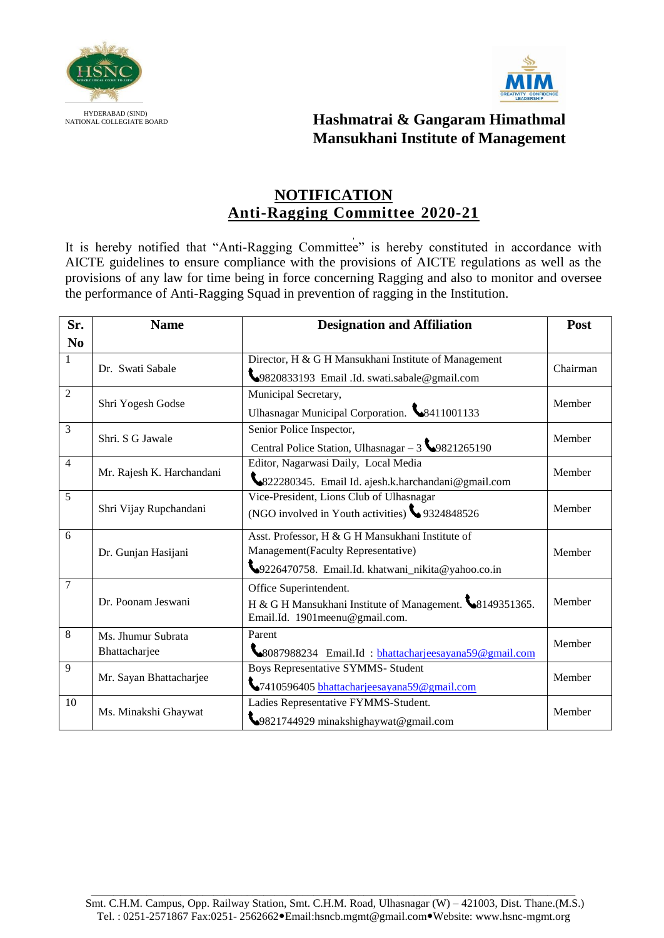



#### **NOTIFICATION Anti-Ragging Committee 2020-21**

It is hereby notified that "Anti-Ragging Committee" is hereby constituted in accordance with AICTE guidelines to ensure compliance with the provisions of AICTE regulations as well as the provisions of any law for time being in force concerning Ragging and also to monitor and oversee the performance of Anti-Ragging Squad in prevention of ragging in the Institution.

| Sr.            | <b>Name</b>               | <b>Designation and Affiliation</b>                         | Post     |
|----------------|---------------------------|------------------------------------------------------------|----------|
| N <sub>0</sub> |                           |                                                            |          |
| $\mathbf{1}$   | Dr. Swati Sabale          | Director, H & G H Mansukhani Institute of Management       | Chairman |
|                |                           | 9820833193 Email .Id. swati.sabale@gmail.com               |          |
| $\overline{2}$ | Shri Yogesh Godse         | Municipal Secretary,                                       | Member   |
|                |                           | Ulhasnagar Municipal Corporation. <a><a>8411001133</a></a> |          |
| 3              | Shri. S G Jawale          | Senior Police Inspector,                                   | Member   |
|                |                           | Central Police Station, Ulhasnagar - 3 <9821265190         |          |
| $\overline{4}$ | Mr. Rajesh K. Harchandani | Editor, Nagarwasi Daily, Local Media                       | Member   |
|                |                           | §822280345. Email Id. ajesh.k.harchandani@gmail.com        |          |
| $\overline{5}$ |                           | Vice-President, Lions Club of Ulhasnagar                   |          |
|                | Shri Vijay Rupchandani    | (NGO involved in Youth activities) $\bigcup$ 9324848526    | Member   |
| 6              |                           | Asst. Professor, H & G H Mansukhani Institute of           |          |
|                | Dr. Gunjan Hasijani       | Management(Faculty Representative)                         | Member   |
|                |                           | 9226470758. Email.Id. khatwani_nikita@yahoo.co.in          |          |
| $\overline{7}$ |                           | Office Superintendent.                                     |          |
|                | Dr. Poonam Jeswani        | H & G H Mansukhani Institute of Management. 18149351365.   | Member   |
|                |                           | Email.Id. 1901 meenu@gmail.com.                            |          |
| 8              | Ms. Jhumur Subrata        | Parent                                                     | Member   |
|                | Bhattacharjee             | 8087988234 Email.Id: bhattacharjeesayana59@gmail.com       |          |
| 9              | Mr. Sayan Bhattacharjee   | <b>Boys Representative SYMMS- Student</b>                  | Member   |
|                |                           | 1410596405 bhattacharjeesayana59@gmail.com                 |          |
| 10             | Ms. Minakshi Ghaywat      | Ladies Representative FYMMS-Student.                       | Member   |
|                |                           | 9821744929 minakshighaywat@gmail.com                       |          |